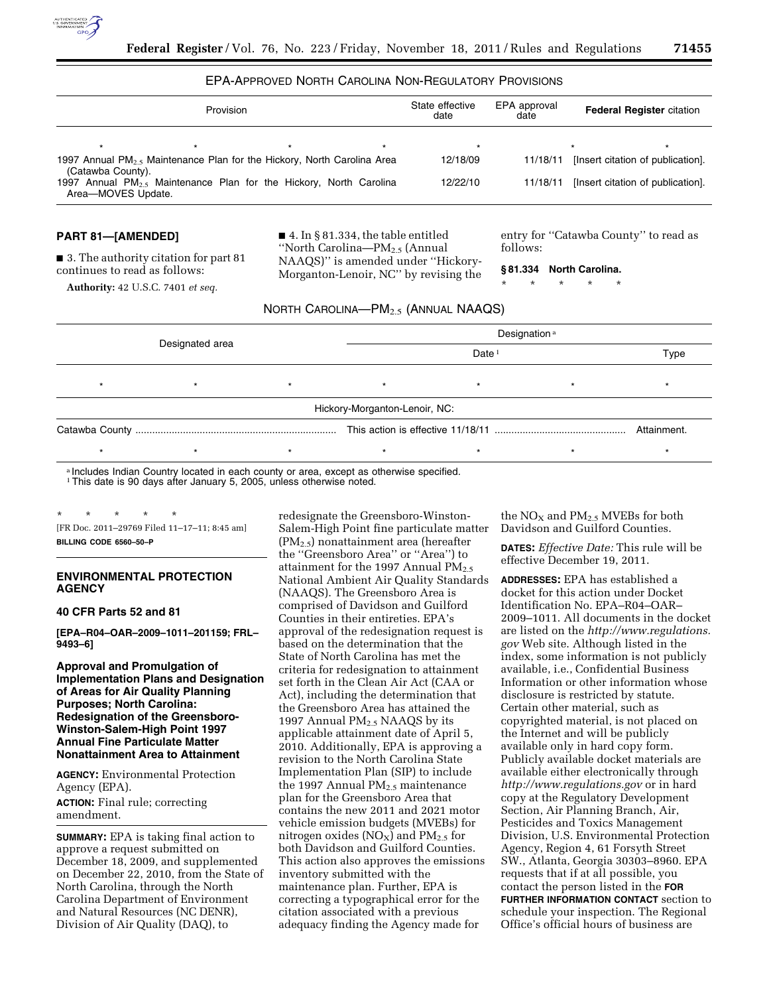

# EPA-APPROVED NORTH CAROLINA NON-REGULATORY PROVISIONS

|                    | Provision |                                                                                    | State effective<br>date | EPA approval<br>date | <b>Federal Register citation</b> |                                   |
|--------------------|-----------|------------------------------------------------------------------------------------|-------------------------|----------------------|----------------------------------|-----------------------------------|
|                    |           |                                                                                    |                         | $\star$              |                                  |                                   |
| (Catawba County).  |           | 1997 Annual PM <sub>25</sub> Maintenance Plan for the Hickory, North Carolina Area |                         | 12/18/09             | 11/18/11                         | [Insert citation of publication]. |
| Area-MOVES Update. |           | 1997 Annual $PM_{2.5}$ Maintenance Plan for the Hickory, North Carolina            |                         | 12/22/10             | 11/18/11                         | [Insert citation of publication]. |

### **PART 81—[AMENDED]**

■ 3. The authority citation for part 81 continues to read as follows:

**Authority:** 42 U.S.C. 7401 *et seq.* 

■ 4. In § 81.334, the table entitled ''North Carolina—PM2.5 (Annual NAAQS)'' is amended under ''Hickory-Morganton-Lenoir, NC'' by revising the entry for ''Catawba County'' to read as follows:

**§ 81.334 North Carolina.** 

\* \* \* \* \*

| NORTH $\mathsf{C}$ arolina— $\mathsf{PM}_{2.5}$ (Annual NAAQS). |  |
|-----------------------------------------------------------------|--|
|-----------------------------------------------------------------|--|

|         |                 |         | Designation <sup>a</sup>      |         |         |  |  |
|---------|-----------------|---------|-------------------------------|---------|---------|--|--|
|         | Designated area |         |                               |         | Type    |  |  |
| $\star$ |                 | $\star$ | $\star$                       | $\star$ | $\star$ |  |  |
|         |                 |         | Hickory-Morganton-Lenoir, NC: |         |         |  |  |
|         |                 |         |                               |         |         |  |  |
|         |                 | $\star$ |                               |         |         |  |  |
|         |                 |         |                               |         |         |  |  |

a Includes Indian Country located in each county or area, except as otherwise specified. <sup>1</sup> This date is 90 days after January 5, 2005, unless otherwise noted.

\* \* \* \* \* [FR Doc. 2011–29769 Filed 11–17–11; 8:45 am] **BILLING CODE 6560–50–P** 

# **ENVIRONMENTAL PROTECTION AGENCY**

#### **40 CFR Parts 52 and 81**

**[EPA–R04–OAR–2009–1011–201159; FRL– 9493–6]** 

**Approval and Promulgation of Implementation Plans and Designation of Areas for Air Quality Planning Purposes; North Carolina: Redesignation of the Greensboro-Winston-Salem-High Point 1997 Annual Fine Particulate Matter Nonattainment Area to Attainment** 

**AGENCY:** Environmental Protection Agency (EPA). **ACTION:** Final rule; correcting amendment.

**SUMMARY:** EPA is taking final action to approve a request submitted on December 18, 2009, and supplemented on December 22, 2010, from the State of North Carolina, through the North Carolina Department of Environment and Natural Resources (NC DENR), Division of Air Quality (DAQ), to

redesignate the Greensboro-Winston-Salem-High Point fine particulate matter (PM2.5) nonattainment area (hereafter the ''Greensboro Area'' or ''Area'') to attainment for the 1997 Annual  $PM_{2.5}$ National Ambient Air Quality Standards (NAAQS). The Greensboro Area is comprised of Davidson and Guilford Counties in their entireties. EPA's approval of the redesignation request is based on the determination that the State of North Carolina has met the criteria for redesignation to attainment set forth in the Clean Air Act (CAA or Act), including the determination that the Greensboro Area has attained the 1997 Annual PM<sub>2.5</sub> NAAQS by its applicable attainment date of April 5, 2010. Additionally, EPA is approving a revision to the North Carolina State Implementation Plan (SIP) to include the 1997 Annual  $PM<sub>2.5</sub>$  maintenance plan for the Greensboro Area that contains the new 2011 and 2021 motor vehicle emission budgets (MVEBs) for nitrogen oxides  $(NO<sub>X</sub>)$  and  $PM<sub>2.5</sub>$  for both Davidson and Guilford Counties. This action also approves the emissions inventory submitted with the maintenance plan. Further, EPA is correcting a typographical error for the citation associated with a previous adequacy finding the Agency made for

the  $NO<sub>X</sub>$  and  $PM<sub>2.5</sub>$  MVEBs for both Davidson and Guilford Counties.

**DATES:** *Effective Date:* This rule will be effective December 19, 2011.

**ADDRESSES:** EPA has established a docket for this action under Docket Identification No. EPA–R04–OAR– 2009–1011. All documents in the docket are listed on the *[http://www.regulations.](http://www.regulations.gov) [gov](http://www.regulations.gov)* Web site. Although listed in the index, some information is not publicly available, i.e., Confidential Business Information or other information whose disclosure is restricted by statute. Certain other material, such as copyrighted material, is not placed on the Internet and will be publicly available only in hard copy form. Publicly available docket materials are available either electronically through *<http://www.regulations.gov>* or in hard copy at the Regulatory Development Section, Air Planning Branch, Air, Pesticides and Toxics Management Division, U.S. Environmental Protection Agency, Region 4, 61 Forsyth Street SW., Atlanta, Georgia 30303–8960. EPA requests that if at all possible, you contact the person listed in the **FOR FURTHER INFORMATION CONTACT** section to schedule your inspection. The Regional Office's official hours of business are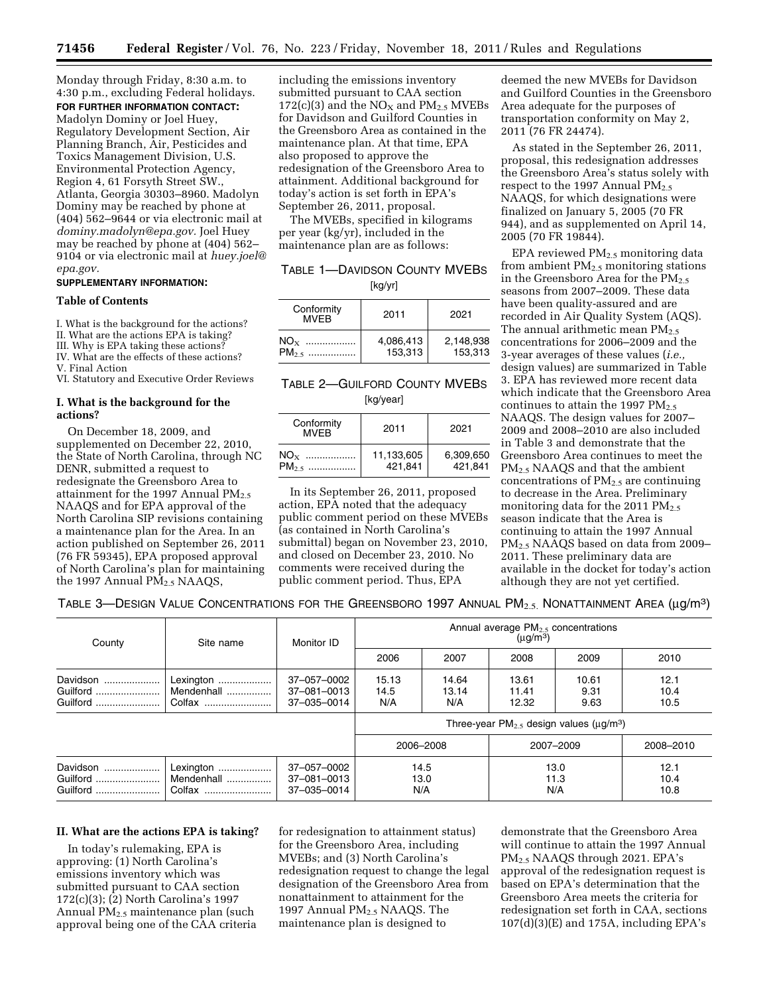Monday through Friday, 8:30 a.m. to 4:30 p.m., excluding Federal holidays. **FOR FURTHER INFORMATION CONTACT:** 

Madolyn Dominy or Joel Huey, Regulatory Development Section, Air Planning Branch, Air, Pesticides and Toxics Management Division, U.S. Environmental Protection Agency, Region 4, 61 Forsyth Street SW., Atlanta, Georgia 30303–8960. Madolyn Dominy may be reached by phone at (404) 562–9644 or via electronic mail at *[dominy.madolyn@epa.gov.](mailto:dominy.madolyn@epa.gov)* Joel Huey may be reached by phone at (404) 562– 9104 or via electronic mail at *[huey.joel@](mailto:huey.joel@epa.gov) [epa.gov.](mailto:huey.joel@epa.gov)* 

# **SUPPLEMENTARY INFORMATION:**

## **Table of Contents**

I. What is the background for the actions? II. What are the actions EPA is taking?

III. Why is EPA taking these actions?

IV. What are the effects of these actions?

V. Final Action

VI. Statutory and Executive Order Reviews

# **I. What is the background for the actions?**

On December 18, 2009, and supplemented on December 22, 2010, the State of North Carolina, through NC DENR, submitted a request to redesignate the Greensboro Area to attainment for the 1997 Annual  $PM_{2.5}$ NAAQS and for EPA approval of the North Carolina SIP revisions containing a maintenance plan for the Area. In an action published on September 26, 2011 (76 FR 59345), EPA proposed approval of North Carolina's plan for maintaining the 1997 Annual  $\overline{PM}_{2.5}$  NAAQS,

including the emissions inventory submitted pursuant to CAA section 172(c)(3) and the  $NO<sub>x</sub>$  and  $PM<sub>2.5</sub>$  MVEBs for Davidson and Guilford Counties in the Greensboro Area as contained in the maintenance plan. At that time, EPA also proposed to approve the redesignation of the Greensboro Area to attainment. Additional background for today's action is set forth in EPA's September 26, 2011, proposal.

The MVEBs, specified in kilograms per year (kg/yr), included in the maintenance plan are as follows:

| TABLE 1-DAVIDSON COUNTY MVEBS |  |
|-------------------------------|--|
| [kg/yr]                       |  |

| Conformity<br><b>MVFB</b> | 2011      | 2021      |
|---------------------------|-----------|-----------|
| $NOX$                     | 4,086,413 | 2.148.938 |
| $PM_{2.5}$                | 153,313   | 153.313   |

# TABLE 2—GUILFORD COUNTY MVEBS [kg/year]

| Conformity<br><b>MVFB</b> | 2011                  | 2021                 |
|---------------------------|-----------------------|----------------------|
| $NO_{X}$<br>$PM_{2.5}$    | 11,133,605<br>421,841 | 6.309.650<br>421.841 |

In its September 26, 2011, proposed action, EPA noted that the adequacy public comment period on these MVEBs (as contained in North Carolina's submittal) began on November 23, 2010, and closed on December 23, 2010. No comments were received during the public comment period. Thus, EPA

deemed the new MVEBs for Davidson and Guilford Counties in the Greensboro Area adequate for the purposes of transportation conformity on May 2, 2011 (76 FR 24474).

As stated in the September 26, 2011, proposal, this redesignation addresses the Greensboro Area's status solely with respect to the 1997 Annual  $PM_{2.5}$ NAAQS, for which designations were finalized on January 5, 2005 (70 FR 944), and as supplemented on April 14, 2005 (70 FR 19844).

EPA reviewed PM2.5 monitoring data from ambient  $PM_{2.5}$  monitoring stations in the Greensboro Area for the  $PM<sub>2.5</sub>$ seasons from 2007–2009. These data have been quality-assured and are recorded in Air Quality System (AQS). The annual arithmetic mean  $PM<sub>2.5</sub>$ concentrations for 2006–2009 and the 3-year averages of these values (*i.e.,*  design values) are summarized in Table 3. EPA has reviewed more recent data which indicate that the Greensboro Area continues to attain the 1997  $PM_{2.5}$ NAAQS. The design values for 2007– 2009 and 2008–2010 are also included in Table 3 and demonstrate that the Greensboro Area continues to meet the PM2.5 NAAQS and that the ambient concentrations of  $PM_{2.5}$  are continuing to decrease in the Area. Preliminary monitoring data for the 2011  $PM_{2.5}$ season indicate that the Area is continuing to attain the 1997 Annual PM2.5 NAAQS based on data from 2009– 2011. These preliminary data are available in the docket for today's action although they are not yet certified.

TABLE 3—DESIGN VALUE CONCENTRATIONS FOR THE GREENSBORO 1997 ANNUAL  $PM_{2.5}$ . NONATTAINMENT AREA ( $\mu$ g/m<sup>3</sup>)

| County                           | Site name                         | Monitor ID                                | Annual average $PM2.5$ concentrations<br>$(\mu q/m^3)$ |                       |                         |                       |                      |
|----------------------------------|-----------------------------------|-------------------------------------------|--------------------------------------------------------|-----------------------|-------------------------|-----------------------|----------------------|
|                                  |                                   |                                           | 2006                                                   | 2007                  | 2008                    | 2009                  | 2010                 |
| Davidson<br>Guilford<br>Guilford | Lexington<br>Mendenhall<br>Colfax | 37-057-0002<br>37-081-0013<br>37-035-0014 | 15.13<br>14.5<br>N/A                                   | 14.64<br>13.14<br>N/A | 13.61<br>11.41<br>12.32 | 10.61<br>9.31<br>9.63 | 12.1<br>10.4<br>10.5 |
|                                  |                                   |                                           | Three-year $PM_{2.5}$ design values ( $\mu q/m^3$ )    |                       |                         |                       |                      |
|                                  |                                   |                                           | 2006-2008                                              |                       | 2007-2009               |                       | 2008-2010            |
| Davidson<br>Guilford<br>Guilford | Lexington<br>Mendenhall<br>Colfax | 37-057-0002<br>37-081-0013<br>37-035-0014 | 14.5<br>13.0<br>13.0<br>11.3<br>N/A<br>N/A             |                       | 12.1<br>10.4<br>10.8    |                       |                      |

# **II. What are the actions EPA is taking?**

In today's rulemaking, EPA is approving: (1) North Carolina's emissions inventory which was submitted pursuant to CAA section 172(c)(3); (2) North Carolina's 1997 Annual  $PM_{2.5}$  maintenance plan (such approval being one of the CAA criteria

for redesignation to attainment status) for the Greensboro Area, including MVEBs; and (3) North Carolina's redesignation request to change the legal designation of the Greensboro Area from nonattainment to attainment for the 1997 Annual PM<sub>2.5</sub> NAAQS. The maintenance plan is designed to

demonstrate that the Greensboro Area will continue to attain the 1997 Annual PM2.5 NAAQS through 2021. EPA's approval of the redesignation request is based on EPA's determination that the Greensboro Area meets the criteria for redesignation set forth in CAA, sections  $107(d)(3)(E)$  and 175A, including EPA's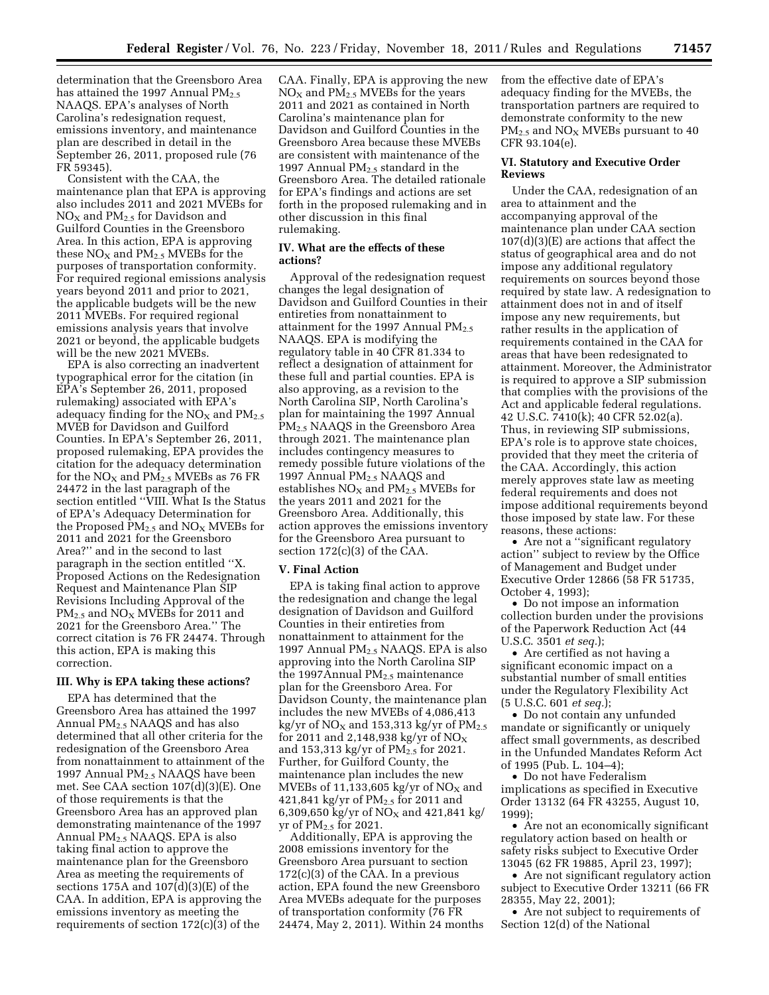determination that the Greensboro Area has attained the 1997 Annual  $PM<sub>2.5</sub>$ NAAQS. EPA's analyses of North Carolina's redesignation request, emissions inventory, and maintenance plan are described in detail in the September 26, 2011, proposed rule (76 FR 59345).

Consistent with the CAA, the maintenance plan that EPA is approving also includes 2011 and 2021 MVEBs for  $NO<sub>X</sub>$  and  $PM<sub>2.5</sub>$  for Davidson and Guilford Counties in the Greensboro Area. In this action, EPA is approving these  $NO<sub>X</sub>$  and  $PM<sub>2.5</sub>$  MVEBs for the purposes of transportation conformity. For required regional emissions analysis years beyond 2011 and prior to 2021, the applicable budgets will be the new 2011 MVEBs. For required regional emissions analysis years that involve 2021 or beyond, the applicable budgets will be the new 2021 MVEBs.

EPA is also correcting an inadvertent typographical error for the citation (in EPA's September 26, 2011, proposed rulemaking) associated with EPA's adequacy finding for the  $NO<sub>x</sub>$  and  $PM<sub>2.5</sub>$ MVEB for Davidson and Guilford Counties. In EPA's September 26, 2011, proposed rulemaking, EPA provides the citation for the adequacy determination for the  $NO<sub>X</sub>$  and  $PM<sub>2.5</sub>$  MVEBs as 76 FR 24472 in the last paragraph of the section entitled ''VIII. What Is the Status of EPA's Adequacy Determination for the Proposed  $PM_{2.5}$  and  $NO_X$  MVEBs for 2011 and 2021 for the Greensboro Area?'' and in the second to last paragraph in the section entitled ''X. Proposed Actions on the Redesignation Request and Maintenance Plan SIP Revisions Including Approval of the  $PM_{2.5}$  and  $NO_X$  MVEBs for 2011 and 2021 for the Greensboro Area.'' The correct citation is 76 FR 24474. Through this action, EPA is making this correction.

# **III. Why is EPA taking these actions?**

EPA has determined that the Greensboro Area has attained the 1997 Annual PM2.5 NAAQS and has also determined that all other criteria for the redesignation of the Greensboro Area from nonattainment to attainment of the 1997 Annual PM2.5 NAAQS have been met. See CAA section 107(d)(3)(E). One of those requirements is that the Greensboro Area has an approved plan demonstrating maintenance of the 1997 Annual PM2.5 NAAQS. EPA is also taking final action to approve the maintenance plan for the Greensboro Area as meeting the requirements of sections 175A and 107(d)(3)(E) of the CAA. In addition, EPA is approving the emissions inventory as meeting the requirements of section 172(c)(3) of the

CAA. Finally, EPA is approving the new  $NO<sub>X</sub>$  and  $PM<sub>2.5</sub>$  MVEBs for the years 2011 and 2021 as contained in North Carolina's maintenance plan for Davidson and Guilford Counties in the Greensboro Area because these MVEBs are consistent with maintenance of the 1997 Annual  $PM<sub>2.5</sub>$  standard in the Greensboro Area. The detailed rationale for EPA's findings and actions are set forth in the proposed rulemaking and in other discussion in this final rulemaking.

# **IV. What are the effects of these actions?**

Approval of the redesignation request changes the legal designation of Davidson and Guilford Counties in their entireties from nonattainment to attainment for the 1997 Annual  $PM_{2.5}$ NAAQS. EPA is modifying the regulatory table in 40 CFR 81.334 to reflect a designation of attainment for these full and partial counties. EPA is also approving, as a revision to the North Carolina SIP, North Carolina's plan for maintaining the 1997 Annual PM<sub>2.5</sub> NAAQS in the Greensboro Area through 2021. The maintenance plan includes contingency measures to remedy possible future violations of the 1997 Annual PM<sub>2.5</sub> NAAQS and establishes  $NO<sub>X</sub>$  and  $PM<sub>2.5</sub>$  MVEBs for the years 2011 and 2021 for the Greensboro Area. Additionally, this action approves the emissions inventory for the Greensboro Area pursuant to section 172(c)(3) of the CAA.

# **V. Final Action**

EPA is taking final action to approve the redesignation and change the legal designation of Davidson and Guilford Counties in their entireties from nonattainment to attainment for the 1997 Annual PM2.5 NAAQS. EPA is also approving into the North Carolina SIP the 1997Annual  $PM<sub>2.5</sub>$  maintenance plan for the Greensboro Area. For Davidson County, the maintenance plan includes the new MVEBs of 4,086,413 kg/yr of  $NO<sub>X</sub>$  and 153,313 kg/yr of  $PM<sub>2.5</sub>$ for 2011 and 2,148,938 kg/yr of  $NO<sub>x</sub>$ and 153,313 kg/yr of  $PM_{2.5}$  for 2021. Further, for Guilford County, the maintenance plan includes the new MVEBs of 11,133,605 kg/yr of  $NO<sub>x</sub>$  and 421,841 kg/yr of PM<sub>2.5</sub> for 2011 and 6,309,650 kg/yr of  $NO<sub>X</sub>$  and 421,841 kg/ yr of  $PM<sub>2.5</sub>$  for 2021.

Additionally, EPA is approving the 2008 emissions inventory for the Greensboro Area pursuant to section 172(c)(3) of the CAA. In a previous action, EPA found the new Greensboro Area MVEBs adequate for the purposes of transportation conformity (76 FR 24474, May 2, 2011). Within 24 months from the effective date of EPA's adequacy finding for the MVEBs, the transportation partners are required to demonstrate conformity to the new  $PM_{2.5}$  and  $NO_X$  MVEBs pursuant to 40 CFR 93.104(e).

# **VI. Statutory and Executive Order Reviews**

Under the CAA, redesignation of an area to attainment and the accompanying approval of the maintenance plan under CAA section 107(d)(3)(E) are actions that affect the status of geographical area and do not impose any additional regulatory requirements on sources beyond those required by state law. A redesignation to attainment does not in and of itself impose any new requirements, but rather results in the application of requirements contained in the CAA for areas that have been redesignated to attainment. Moreover, the Administrator is required to approve a SIP submission that complies with the provisions of the Act and applicable federal regulations. 42 U.S.C. 7410(k); 40 CFR 52.02(a). Thus, in reviewing SIP submissions, EPA's role is to approve state choices, provided that they meet the criteria of the CAA. Accordingly, this action merely approves state law as meeting federal requirements and does not impose additional requirements beyond those imposed by state law. For these reasons, these actions:

• Are not a ''significant regulatory action'' subject to review by the Office of Management and Budget under Executive Order 12866 (58 FR 51735, October 4, 1993);

• Do not impose an information collection burden under the provisions of the Paperwork Reduction Act (44 U.S.C. 3501 *et seq.*);

• Are certified as not having a significant economic impact on a substantial number of small entities under the Regulatory Flexibility Act (5 U.S.C. 601 *et seq.*);

• Do not contain any unfunded mandate or significantly or uniquely affect small governments, as described in the Unfunded Mandates Reform Act of 1995 (Pub. L. 104–4);

• Do not have Federalism implications as specified in Executive Order 13132 (64 FR 43255, August 10, 1999);

• Are not an economically significant regulatory action based on health or safety risks subject to Executive Order 13045 (62 FR 19885, April 23, 1997);

• Are not significant regulatory action subject to Executive Order 13211 (66 FR 28355, May 22, 2001);

• Are not subject to requirements of Section 12(d) of the National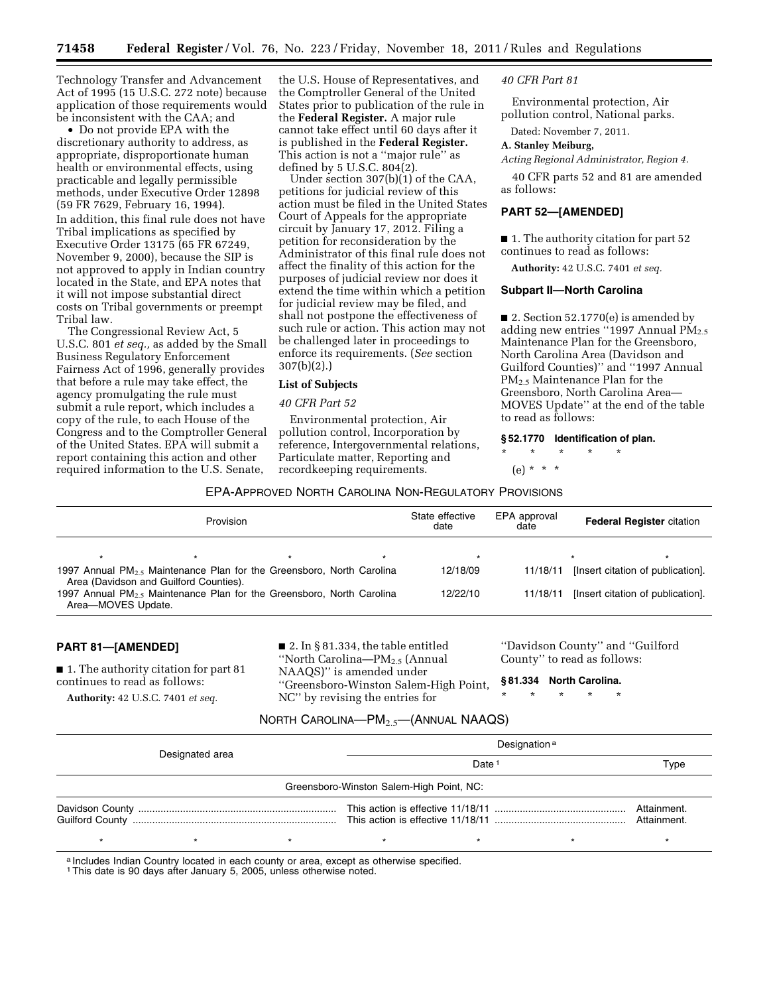Technology Transfer and Advancement Act of 1995 (15 U.S.C. 272 note) because application of those requirements would be inconsistent with the CAA; and

• Do not provide EPA with the discretionary authority to address, as appropriate, disproportionate human health or environmental effects, using practicable and legally permissible methods, under Executive Order 12898 (59 FR 7629, February 16, 1994). In addition, this final rule does not have Tribal implications as specified by Executive Order 13175 (65 FR 67249, November 9, 2000), because the SIP is not approved to apply in Indian country located in the State, and EPA notes that it will not impose substantial direct costs on Tribal governments or preempt Tribal law.

The Congressional Review Act, 5 U.S.C. 801 *et seq.,* as added by the Small Business Regulatory Enforcement Fairness Act of 1996, generally provides that before a rule may take effect, the agency promulgating the rule must submit a rule report, which includes a copy of the rule, to each House of the Congress and to the Comptroller General of the United States. EPA will submit a report containing this action and other required information to the U.S. Senate,

the U.S. House of Representatives, and the Comptroller General of the United States prior to publication of the rule in the **Federal Register.** A major rule cannot take effect until 60 days after it is published in the **Federal Register.**  This action is not a ''major rule'' as defined by  $5 \text{ U.S.C. } 804(2)$ .

Under section 307(b)(1) of the CAA, petitions for judicial review of this action must be filed in the United States Court of Appeals for the appropriate circuit by January 17, 2012. Filing a petition for reconsideration by the Administrator of this final rule does not affect the finality of this action for the purposes of judicial review nor does it extend the time within which a petition for judicial review may be filed, and shall not postpone the effectiveness of such rule or action. This action may not be challenged later in proceedings to enforce its requirements. (*See* section 307(b)(2).)

#### **List of Subjects**

#### *40 CFR Part 52*

Environmental protection, Air pollution control, Incorporation by reference, Intergovernmental relations, Particulate matter, Reporting and recordkeeping requirements.

#### *40 CFR Part 81*

Environmental protection, Air pollution control, National parks.

Dated: November 7, 2011.

#### **A. Stanley Meiburg,**

*Acting Regional Administrator, Region 4.* 

40 CFR parts 52 and 81 are amended as follows:

#### **PART 52—[AMENDED]**

■ 1. The authority citation for part 52 continues to read as follows:

**Authority:** 42 U.S.C. 7401 *et seq.* 

### **Subpart II—North Carolina**

■ 2. Section 52.1770(e) is amended by adding new entries "1997 Annual  $\tilde{PM}_{2.5}$ Maintenance Plan for the Greensboro, North Carolina Area (Davidson and Guilford Counties)'' and ''1997 Annual PM2.5 Maintenance Plan for the Greensboro, North Carolina Area— MOVES Update'' at the end of the table to read as follows:

#### **§ 52.1770 Identification of plan.**

\* \* \* \* \*

(e) \* \* \*

# EPA-APPROVED NORTH CAROLINA NON-REGULATORY PROVISIONS

| Provision                                                                                      |                                        |         |         | State effective<br>date | EPA approval<br>date | <b>Federal Register citation</b>  |
|------------------------------------------------------------------------------------------------|----------------------------------------|---------|---------|-------------------------|----------------------|-----------------------------------|
| $\star$                                                                                        |                                        | $\star$ | $\star$ | $\star$                 |                      |                                   |
| 1997 Annual $PM_2$ , Maintenance Plan for the Greensboro, North Carolina                       | Area (Davidson and Guilford Counties). |         |         | 12/18/09                | 11/18/11             | [Insert citation of publication]. |
| 1997 Annual $PM_2$ , Maintenance Plan for the Greensboro, North Carolina<br>Area-MOVES Update. |                                        |         |         | 12/22/10                | 11/18/11             | [Insert citation of publication]. |

#### **PART 81—[AMENDED]**

■ 1. The authority citation for part 81 continues to read as follows:

**Authority:** 42 U.S.C. 7401 *et seq.* 

■ 2. In § 81.334, the table entitled ''North Carolina—PM2.5 (Annual NAAQS)'' is amended under ''Greensboro-Winston Salem-High Point, NC'' by revising the entries for

''Davidson County'' and ''Guilford County'' to read as follows:

**§ 81.334 North Carolina.** 

# NORTH CAROLINA—PM2.5—(ANNUAL NAAQS)

| Designated area |                                          |  | Designation <sup>a</sup> |  |  |             |  |  |  |  |  |
|-----------------|------------------------------------------|--|--------------------------|--|--|-------------|--|--|--|--|--|
|                 |                                          |  | Date<br>Type             |  |  |             |  |  |  |  |  |
|                 | Greensboro-Winston Salem-High Point, NC: |  |                          |  |  |             |  |  |  |  |  |
|                 |                                          |  |                          |  |  | Attainment. |  |  |  |  |  |
|                 |                                          |  |                          |  |  |             |  |  |  |  |  |

a Includes Indian Country located in each county or area, except as otherwise specified.

1This date is 90 days after January 5, 2005, unless otherwise noted.

<sup>\* \* \* \* \*</sup>